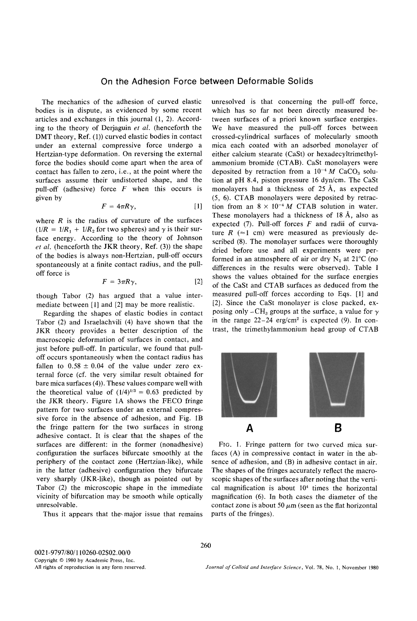## **On the Adhesion Force between Deformable Solids**

The mechanics of the adhesion of curved elastic bodies is in dispute, as evidenced by some recent articles and exchanges in this journal (1, 2). According to the theory of Derjaguin *et al.* (henceforth the DMT theory, Ref. (1)) curved elastic bodies in contact under an external compressive force undergo a Hertzian-type deformation. On reversing the external force the bodies should come apart when the area of contact has fallen to zero, i.e., at the point where the surfaces assume their undistorted shape, and the pull-off (adhesive) force  $F$  when this occurs is given by

$$
F = 4\pi R \gamma, \qquad [1]
$$

where  $R$  is the radius of curvature of the surfaces  $(1/R = 1/R<sub>1</sub> + 1/R<sub>2</sub>$  for two spheres) and  $\gamma$  is their surface energy. According to the theory of Johnson *et al.* (henceforth the JKR theory, Ref. (3)) the shape of the bodies is always non-Hertzian, pull-off occurs spontaneously at a finite contact radius, and the pulloff force is

$$
F = 3\pi R \gamma, \tag{2}
$$

though Tabor (2) has argued that a value intermediate between [1] and [2] may be more realistic.

Regarding the shapes of elastic bodies in contact Tabor (2) and Israelachvili (4) have shown that the JKR theory provides a better description of the macroscopic deformation of surfaces in contact, and just before pull-off. In particular, we found that pulloff occurs spontaneously when the contact radius has fallen to  $0.58 \pm 0.04$  of the value under zero external force (cf. the very similar result obtained for bare mica surfaces (4)). These values compare well with the theoretical value of  $(1/4)^{1/3} = 0.63$  predicted by the JKR theory. Figure 1A shows the FECO fringe pattern for two surfaces under an external compressive force in the absence of adhesion, and Fig. 1B the fringe pattern for the two surfaces in strong adhesive contact. It is clear that the shapes of the surfaces are different: in the former (nonadhesive) configuration the surfaces bifurcate smoothly at the periphery of the contact zone (Hertzian-like), while in the latter (adhesive) configuration they bifurcate very sharply (JKR-like), though as pointed out by Tabor (2) the microscopic shape in the immediate vicinity of bifurcation may be smooth while optically unresolvable.

Thus it appears that the major issue that remains

unresolved is that concerning the pull-off force, which has so far not been directly measured between surfaces of a priori known surface energies. We have measured the pull-off forces between crossed-cylindrical surfaces of molecularly smooth mica each coated with an adsorbed monolayer of either calcium stearate (CaSt) or hexadecyltrimethylammonium bromide (CTAB). CaSt monolayers were deposited by retraction from a  $10^{-4} M$  CaCO<sub>3</sub> solution at pH 8.4, piston pressure 16 dyn/cm. The CaSt monolayers had a thickness of 25 A, as expected (5, 6). CTAB monolayers were deposited by retraction from an  $8 \times 10^{-4} M$  CTAB solution in water. These monolayers had a thickness of 18 A, also as expected (7). Pull-off forces  $F$  and radii of curvature  $R$  ( $\approx$ 1 cm) were measured as previously described (8). The monolayer surfaces were thoroughly dried before use and all experiments were performed in an atmosphere of air or dry  $N_2$  at 21 $\degree$ C (no differences in the results were observed). Table I shows the values obtained for the surface energies of the CaSt and CTAB surfaces as deduced from the measured pull-off forces according to Eqs. [1] and [2]. Since the CaSt monolayer is close packed, exposing only -CH<sub>3</sub> groups at the surface, a value for  $\gamma$ in the range  $22-24$  erg/cm<sup>2</sup> is expected (9). In contrast, the trimethylammonium head group of CTAB



FIG. 1. Fringe pattern for two curved mica surfaces (A) in compressive contact in water in the absence of adhesion, and (B) in adhesive contact in air. The shapes of the fringes accurately reflect the macroscopic shapes of the surfaces after noting that the vertical magnification is about  $10<sup>4</sup>$  times the horizontal magnification (6). In both cases the diameter of the contact zone is about 50  $\mu$ m (seen as the flat horizontal parts of the fringes).

*Journal of Colloid and Interface Science,* Vol. 78, No. l, November 1980

260